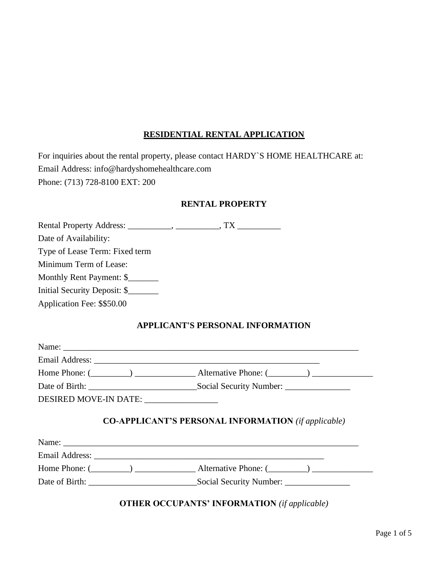### **RESIDENTIAL RENTAL APPLICATION**

| For inquiries about the rental property, please contact HARDY'S HOME HEALTHCARE at: |
|-------------------------------------------------------------------------------------|
| Email Address: info@hardyshomehealthcare.com                                        |
| Phone: (713) 728-8100 EXT: 200                                                      |

#### **RENTAL PROPERTY**

|                                | TX T |  |
|--------------------------------|------|--|
| Date of Availability:          |      |  |
| Type of Lease Term: Fixed term |      |  |
| Minimum Term of Lease:         |      |  |
| Monthly Rent Payment: \$       |      |  |
| Initial Security Deposit: \$   |      |  |
| Application Fee: \$\$50.00     |      |  |

## **APPLICANT'S PERSONAL INFORMATION**

|                                          | Home Phone: $(\_\_\_\_\_)$ $\_\_\_\_\_$ Alternative Phone: $(\_\_\_\_\_\_)$ |
|------------------------------------------|-----------------------------------------------------------------------------|
|                                          |                                                                             |
| DESIRED MOVE-IN DATE: __________________ |                                                                             |
|                                          |                                                                             |
|                                          | <b>CO-APPLICANT'S PERSONAL INFORMATION</b> (if applicable)                  |
|                                          |                                                                             |
|                                          | Home Phone: $(\_\_\_\_\_)$ $\_\_\_\_\_$ Alternative Phone: $(\_\_\_\_\_\_)$ |

# **OTHER OCCUPANTS' INFORMATION** *(if applicable)*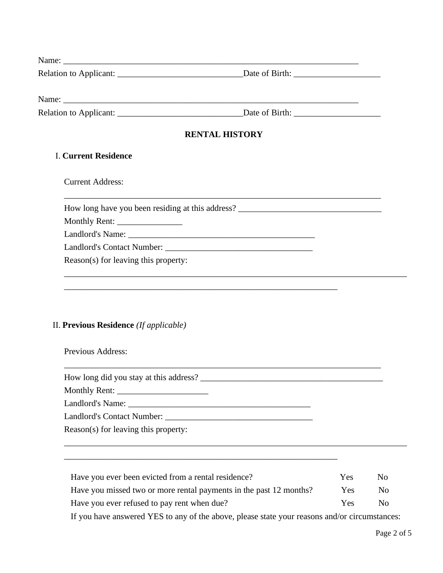| Name:                  |                |
|------------------------|----------------|
| Relation to Applicant: | Date of Birth: |
|                        |                |

Name: \_\_\_\_\_\_\_\_\_\_\_\_\_\_\_\_\_\_\_\_\_\_\_\_\_\_\_\_\_\_\_\_\_\_\_\_\_\_\_\_\_\_\_\_\_\_\_\_\_\_\_\_\_\_\_\_\_\_\_\_\_\_\_\_\_\_\_\_

Relation to Applicant: \_\_\_\_\_\_\_\_\_\_\_\_\_\_\_\_\_\_\_\_\_\_\_\_\_\_\_\_\_Date of Birth: \_\_\_\_\_\_\_\_\_\_\_\_\_\_\_\_\_\_\_\_

\_\_\_\_\_\_\_\_\_\_\_\_\_\_\_\_\_\_\_\_\_\_\_\_\_\_\_\_\_\_\_\_\_\_\_\_\_\_\_\_\_\_\_\_\_\_\_\_\_\_\_\_\_\_\_\_\_\_\_\_\_\_\_\_\_\_\_\_\_\_\_\_\_

### **RENTAL HISTORY**

\_\_\_\_\_\_\_\_\_\_\_\_\_\_\_\_\_\_\_\_\_\_\_\_\_\_\_\_\_\_\_\_\_\_\_\_\_\_\_\_\_\_\_\_\_\_\_\_\_\_\_\_\_\_\_\_\_\_\_\_\_\_\_\_\_\_\_\_\_\_\_\_\_

\_\_\_\_\_\_\_\_\_\_\_\_\_\_\_\_\_\_\_\_\_\_\_\_\_\_\_\_\_\_\_\_\_\_\_\_\_\_\_\_\_\_\_\_\_\_\_\_\_\_\_\_\_\_\_\_\_\_\_\_\_\_\_\_\_\_\_\_\_\_\_\_\_\_\_\_\_\_\_

\_\_\_\_\_\_\_\_\_\_\_\_\_\_\_\_\_\_\_\_\_\_\_\_\_\_\_\_\_\_\_\_\_\_\_\_\_\_\_\_\_\_\_\_\_\_\_\_\_\_\_\_\_\_\_\_\_\_\_\_\_\_\_

\_\_\_\_\_\_\_\_\_\_\_\_\_\_\_\_\_\_\_\_\_\_\_\_\_\_\_\_\_\_\_\_\_\_\_\_\_\_\_\_\_\_\_\_\_\_\_\_\_\_\_\_\_\_\_\_\_\_\_\_\_\_\_

#### I. **Current Residence**

Current Address:

How long have you been residing at this address?

Monthly Rent: \_\_\_\_\_\_\_\_\_\_\_\_\_\_\_

Landlord's Name: \_\_\_\_\_\_\_\_\_\_\_\_\_\_\_\_\_\_\_\_\_\_\_\_\_\_\_\_\_\_\_\_\_\_\_\_\_\_\_\_\_\_\_

Landlord's Contact Number: \_\_\_\_\_\_\_\_\_\_\_\_\_\_\_\_\_\_\_\_\_\_\_\_\_\_\_\_\_\_\_\_\_\_

Reason(s) for leaving this property:

### II. **Previous Residence** *(If applicable)*

Previous Address:

How long did you stay at this address? \_\_\_\_\_\_\_\_\_\_\_\_\_\_\_\_\_\_\_\_\_\_\_\_\_\_\_\_\_\_\_\_\_\_\_\_\_\_\_\_\_\_

Monthly Rent: \_\_\_\_\_\_\_\_\_\_\_\_\_\_\_\_\_\_\_\_\_

Landlord's Name: \_\_\_\_\_\_\_\_\_\_\_\_\_\_\_\_\_\_\_\_\_\_\_\_\_\_\_\_\_\_\_\_\_\_\_\_\_\_\_\_\_\_

Landlord's Contact Number: \_\_\_\_\_\_\_\_\_\_\_\_\_\_\_\_\_\_\_\_\_\_\_\_\_\_\_\_\_\_\_\_\_\_

Reason(s) for leaving this property:

Have you ever been evicted from a rental residence? Yes No Have you missed two or more rental payments in the past 12 months? Yes No Have you ever refused to pay rent when due? Yes No

\_\_\_\_\_\_\_\_\_\_\_\_\_\_\_\_\_\_\_\_\_\_\_\_\_\_\_\_\_\_\_\_\_\_\_\_\_\_\_\_\_\_\_\_\_\_\_\_\_\_\_\_\_\_\_\_\_\_\_\_\_\_\_\_\_\_\_\_\_\_\_\_\_\_\_\_\_\_\_

If you have answered YES to any of the above, please state your reasons and/or circumstances: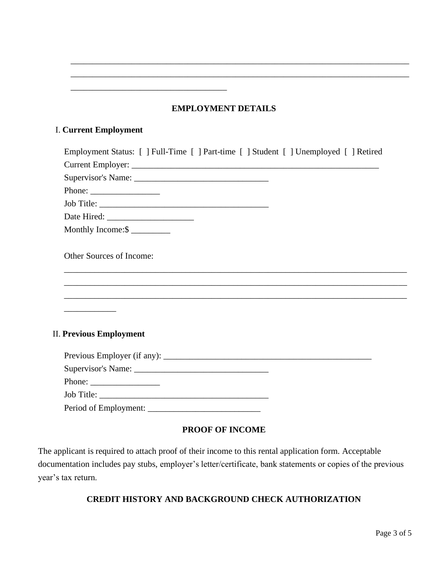### **EMPLOYMENT DETAILS**

\_\_\_\_\_\_\_\_\_\_\_\_\_\_\_\_\_\_\_\_\_\_\_\_\_\_\_\_\_\_\_\_\_\_\_\_\_\_\_\_\_\_\_\_\_\_\_\_\_\_\_\_\_\_\_\_\_\_\_\_\_\_\_\_\_\_\_\_\_\_\_\_\_\_\_\_\_\_ \_\_\_\_\_\_\_\_\_\_\_\_\_\_\_\_\_\_\_\_\_\_\_\_\_\_\_\_\_\_\_\_\_\_\_\_\_\_\_\_\_\_\_\_\_\_\_\_\_\_\_\_\_\_\_\_\_\_\_\_\_\_\_\_\_\_\_\_\_\_\_\_\_\_\_\_\_\_

### I. **Current Employment**

\_\_\_\_\_\_\_\_\_\_\_\_\_\_\_\_\_\_\_\_\_\_\_\_\_\_\_\_\_\_\_\_\_\_\_\_

| Phone: $\frac{1}{\sqrt{1-\frac{1}{2}} \cdot \frac{1}{2} \cdot \frac{1}{2} \cdot \frac{1}{2} \cdot \frac{1}{2} \cdot \frac{1}{2} \cdot \frac{1}{2} \cdot \frac{1}{2} \cdot \frac{1}{2} \cdot \frac{1}{2} \cdot \frac{1}{2} \cdot \frac{1}{2} \cdot \frac{1}{2} \cdot \frac{1}{2} \cdot \frac{1}{2} \cdot \frac{1}{2} \cdot \frac{1}{2} \cdot \frac{1}{2} \cdot \frac{1}{2} \cdot \frac{1}{2} \cdot \frac{1}{2} \cdot \frac{1}{2} \cdot \frac{1}{2$ |  |
|---------------------------------------------------------------------------------------------------------------------------------------------------------------------------------------------------------------------------------------------------------------------------------------------------------------------------------------------------------------------------------------------------------------------------------------------------|--|
|                                                                                                                                                                                                                                                                                                                                                                                                                                                   |  |
|                                                                                                                                                                                                                                                                                                                                                                                                                                                   |  |
| Monthly Income:\$                                                                                                                                                                                                                                                                                                                                                                                                                                 |  |
| Other Sources of Income:                                                                                                                                                                                                                                                                                                                                                                                                                          |  |
|                                                                                                                                                                                                                                                                                                                                                                                                                                                   |  |
|                                                                                                                                                                                                                                                                                                                                                                                                                                                   |  |
|                                                                                                                                                                                                                                                                                                                                                                                                                                                   |  |
|                                                                                                                                                                                                                                                                                                                                                                                                                                                   |  |
| <b>II. Previous Employment</b>                                                                                                                                                                                                                                                                                                                                                                                                                    |  |
|                                                                                                                                                                                                                                                                                                                                                                                                                                                   |  |
|                                                                                                                                                                                                                                                                                                                                                                                                                                                   |  |
| Phone: $\frac{1}{\sqrt{1-\frac{1}{2}} \cdot \frac{1}{2}}$                                                                                                                                                                                                                                                                                                                                                                                         |  |
|                                                                                                                                                                                                                                                                                                                                                                                                                                                   |  |
|                                                                                                                                                                                                                                                                                                                                                                                                                                                   |  |

### **PROOF OF INCOME**

The applicant is required to attach proof of their income to this rental application form. Acceptable documentation includes pay stubs, employer's letter/certificate, bank statements or copies of the previous year's tax return.

### **CREDIT HISTORY AND BACKGROUND CHECK AUTHORIZATION**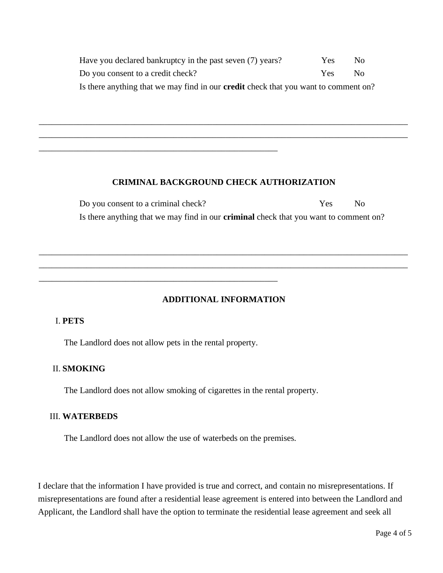| Have you declared bankruptcy in the past seven (7) years?                                  | <b>Yes</b> | N <sub>0</sub> |
|--------------------------------------------------------------------------------------------|------------|----------------|
| Do you consent to a credit check?                                                          | Yes        | N∩             |
| Is there anything that we may find in our <b>credit</b> check that you want to comment on? |            |                |

#### **CRIMINAL BACKGROUND CHECK AUTHORIZATION**

\_\_\_\_\_\_\_\_\_\_\_\_\_\_\_\_\_\_\_\_\_\_\_\_\_\_\_\_\_\_\_\_\_\_\_\_\_\_\_\_\_\_\_\_\_\_\_\_\_\_\_\_\_\_\_\_\_\_\_\_\_\_\_\_\_\_\_\_\_\_\_\_\_\_\_\_\_\_\_\_\_\_\_\_\_ \_\_\_\_\_\_\_\_\_\_\_\_\_\_\_\_\_\_\_\_\_\_\_\_\_\_\_\_\_\_\_\_\_\_\_\_\_\_\_\_\_\_\_\_\_\_\_\_\_\_\_\_\_\_\_\_\_\_\_\_\_\_\_\_\_\_\_\_\_\_\_\_\_\_\_\_\_\_\_\_\_\_\_\_\_

> Do you consent to a criminal check? Yes No Is there anything that we may find in our **criminal** check that you want to comment on?

#### **ADDITIONAL INFORMATION**

\_\_\_\_\_\_\_\_\_\_\_\_\_\_\_\_\_\_\_\_\_\_\_\_\_\_\_\_\_\_\_\_\_\_\_\_\_\_\_\_\_\_\_\_\_\_\_\_\_\_\_\_\_\_\_\_\_\_\_\_\_\_\_\_\_\_\_\_\_\_\_\_\_\_\_\_\_\_\_\_\_\_\_\_\_ \_\_\_\_\_\_\_\_\_\_\_\_\_\_\_\_\_\_\_\_\_\_\_\_\_\_\_\_\_\_\_\_\_\_\_\_\_\_\_\_\_\_\_\_\_\_\_\_\_\_\_\_\_\_\_\_\_\_\_\_\_\_\_\_\_\_\_\_\_\_\_\_\_\_\_\_\_\_\_\_\_\_\_\_\_

#### I. **PETS**

The Landlord does not allow pets in the rental property.

\_\_\_\_\_\_\_\_\_\_\_\_\_\_\_\_\_\_\_\_\_\_\_\_\_\_\_\_\_\_\_\_\_\_\_\_\_\_\_\_\_\_\_\_\_\_\_\_\_\_\_\_\_\_\_

\_\_\_\_\_\_\_\_\_\_\_\_\_\_\_\_\_\_\_\_\_\_\_\_\_\_\_\_\_\_\_\_\_\_\_\_\_\_\_\_\_\_\_\_\_\_\_\_\_\_\_\_\_\_\_

#### II. **SMOKING**

The Landlord does not allow smoking of cigarettes in the rental property.

#### III. **WATERBEDS**

The Landlord does not allow the use of waterbeds on the premises.

I declare that the information I have provided is true and correct, and contain no misrepresentations. If misrepresentations are found after a residential lease agreement is entered into between the Landlord and Applicant, the Landlord shall have the option to terminate the residential lease agreement and seek all